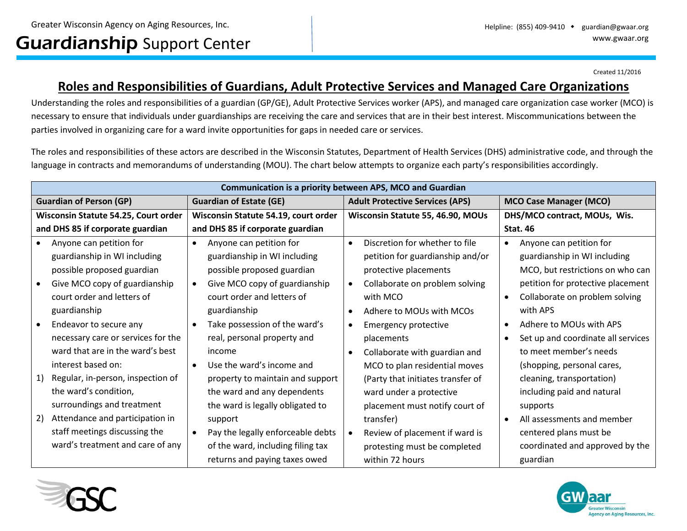## Guardianship Support Center

Created 11/2016

## **Roles and Responsibilities of Guardians, Adult Protective Services and Managed Care Organizations**

Understanding the roles and responsibilities of a guardian (GP/GE), Adult Protective Services worker (APS), and managed care organization case worker (MCO) is necessary to ensure that individuals under guardianships are receiving the care and services that are in their best interest. Miscommunications between the parties involved in organizing care for a ward invite opportunities for gaps in needed care or services.

The roles and responsibilities of these actors are described in the Wisconsin Statutes, Department of Health Services (DHS) administrative code, and through the language in contracts and memorandums of understanding (MOU). The chart below attempts to organize each party's responsibilities accordingly.

| Communication is a priority between APS, MCO and Guardian |                                    |                                      |                                   |                                        |                                   |                               |                                    |  |  |  |  |
|-----------------------------------------------------------|------------------------------------|--------------------------------------|-----------------------------------|----------------------------------------|-----------------------------------|-------------------------------|------------------------------------|--|--|--|--|
| <b>Guardian of Person (GP)</b>                            |                                    | <b>Guardian of Estate (GE)</b>       |                                   | <b>Adult Protective Services (APS)</b> |                                   | <b>MCO Case Manager (MCO)</b> |                                    |  |  |  |  |
| Wisconsin Statute 54.25, Court order                      |                                    | Wisconsin Statute 54.19, court order |                                   | Wisconsin Statute 55, 46.90, MOUs      |                                   | DHS/MCO contract, MOUs, Wis.  |                                    |  |  |  |  |
| and DHS 85 if corporate guardian                          |                                    | and DHS 85 if corporate guardian     |                                   |                                        |                                   | <b>Stat. 46</b>               |                                    |  |  |  |  |
|                                                           | Anyone can petition for            | $\bullet$                            | Anyone can petition for           | $\bullet$                              | Discretion for whether to file    |                               | Anyone can petition for            |  |  |  |  |
|                                                           | guardianship in WI including       |                                      | guardianship in WI including      |                                        | petition for guardianship and/or  |                               | guardianship in WI including       |  |  |  |  |
|                                                           | possible proposed guardian         |                                      | possible proposed guardian        |                                        | protective placements             |                               | MCO, but restrictions on who can   |  |  |  |  |
|                                                           | Give MCO copy of guardianship      | $\bullet$                            | Give MCO copy of guardianship     | $\bullet$                              | Collaborate on problem solving    |                               | petition for protective placement  |  |  |  |  |
|                                                           | court order and letters of         |                                      | court order and letters of        |                                        | with MCO                          | $\bullet$                     | Collaborate on problem solving     |  |  |  |  |
|                                                           | guardianship                       |                                      | guardianship                      |                                        | Adhere to MOUs with MCOs          |                               | with APS                           |  |  |  |  |
|                                                           | Endeavor to secure any             |                                      | Take possession of the ward's     |                                        | <b>Emergency protective</b>       |                               | Adhere to MOUs with APS            |  |  |  |  |
|                                                           | necessary care or services for the |                                      | real, personal property and       |                                        | placements                        |                               | Set up and coordinate all services |  |  |  |  |
|                                                           | ward that are in the ward's best   |                                      | income                            |                                        | Collaborate with guardian and     |                               | to meet member's needs             |  |  |  |  |
|                                                           | interest based on:                 | $\bullet$                            | Use the ward's income and         |                                        | MCO to plan residential moves     |                               | (shopping, personal cares,         |  |  |  |  |
| 1)                                                        | Regular, in-person, inspection of  |                                      | property to maintain and support  |                                        | (Party that initiates transfer of |                               | cleaning, transportation)          |  |  |  |  |
|                                                           | the ward's condition,              |                                      | the ward and any dependents       |                                        | ward under a protective           |                               | including paid and natural         |  |  |  |  |
|                                                           | surroundings and treatment         |                                      | the ward is legally obligated to  |                                        | placement must notify court of    |                               | supports                           |  |  |  |  |
| 2)                                                        | Attendance and participation in    |                                      | support                           |                                        | transfer)                         |                               | All assessments and member         |  |  |  |  |
|                                                           | staff meetings discussing the      |                                      | Pay the legally enforceable debts | $\bullet$                              | Review of placement if ward is    |                               | centered plans must be             |  |  |  |  |
|                                                           | ward's treatment and care of any   |                                      | of the ward, including filing tax |                                        | protesting must be completed      |                               | coordinated and approved by the    |  |  |  |  |
|                                                           |                                    |                                      | returns and paying taxes owed     |                                        | within 72 hours                   |                               | guardian                           |  |  |  |  |